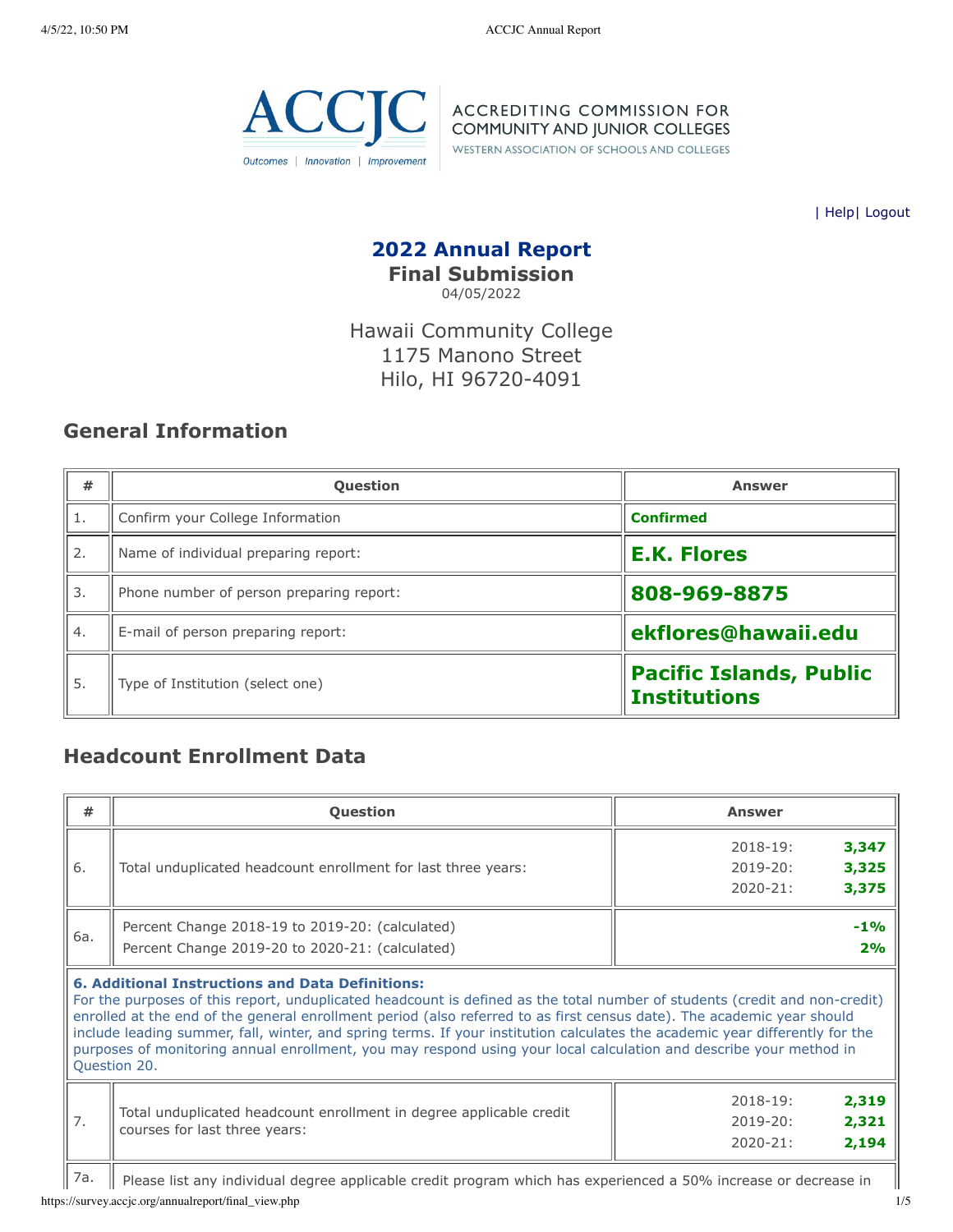

ACCREDITING COMMISSION FOR<br>COMMUNITY AND JUNIOR COLLEGES

WESTERN ASSOCIATION OF SCHOOLS AND COLLEGES

| [Help](javascript:newPopup()| [Logout](https://survey.accjc.org/annualreport/logout.php)

### **2022 Annual Report Final Submission** 04/05/2022

Hawaii Community College 1175 Manono Street Hilo, HI 96720-4091

## **General Information**

| #  | <b>Question</b>                          | <b>Answer</b>                                         |  |  |
|----|------------------------------------------|-------------------------------------------------------|--|--|
| 1. | Confirm your College Information         | <b>Confirmed</b>                                      |  |  |
| 2. | Name of individual preparing report:     | <b>E.K. Flores</b>                                    |  |  |
| 3. | Phone number of person preparing report: | 808-969-8875                                          |  |  |
| 4. | E-mail of person preparing report:       | ekflores@hawaii.edu                                   |  |  |
| 5. | Type of Institution (select one)         | <b>Pacific Islands, Public</b><br><b>Institutions</b> |  |  |

# **Headcount Enrollment Data**

| #   | Question                                                                                                                                                                                                                                                                                                                                                                                                                                                                                                                                                                              | <b>Answer</b>                                                           |  |  |  |  |  |
|-----|---------------------------------------------------------------------------------------------------------------------------------------------------------------------------------------------------------------------------------------------------------------------------------------------------------------------------------------------------------------------------------------------------------------------------------------------------------------------------------------------------------------------------------------------------------------------------------------|-------------------------------------------------------------------------|--|--|--|--|--|
| 6.  | Total unduplicated headcount enrollment for last three years:                                                                                                                                                                                                                                                                                                                                                                                                                                                                                                                         | 3,347<br>$2018 - 19:$<br>3,325<br>$2019 - 20:$<br>3,375<br>$2020 - 21:$ |  |  |  |  |  |
| 6a. | Percent Change 2018-19 to 2019-20: (calculated)<br>Percent Change 2019-20 to 2020-21: (calculated)                                                                                                                                                                                                                                                                                                                                                                                                                                                                                    | $-1\%$<br>2%                                                            |  |  |  |  |  |
|     | <b>6. Additional Instructions and Data Definitions:</b><br>For the purposes of this report, unduplicated headcount is defined as the total number of students (credit and non-credit)<br>enrolled at the end of the general enrollment period (also referred to as first census date). The academic year should<br>include leading summer, fall, winter, and spring terms. If your institution calculates the academic year differently for the<br>purposes of monitoring annual enrollment, you may respond using your local calculation and describe your method in<br>Question 20. |                                                                         |  |  |  |  |  |
| 7.  | Total unduplicated headcount enrollment in degree applicable credit<br>courses for last three years:                                                                                                                                                                                                                                                                                                                                                                                                                                                                                  | 2,319<br>$2018 - 19:$<br>2,321<br>$2019 - 20:$<br>2,194<br>$2020 - 21:$ |  |  |  |  |  |
| 7a. | Please list any individual degree applicable credit program which has experienced a 50% increase or decrease in                                                                                                                                                                                                                                                                                                                                                                                                                                                                       |                                                                         |  |  |  |  |  |

https://survey.accjc.org/annualreport/final\_view.php 1/5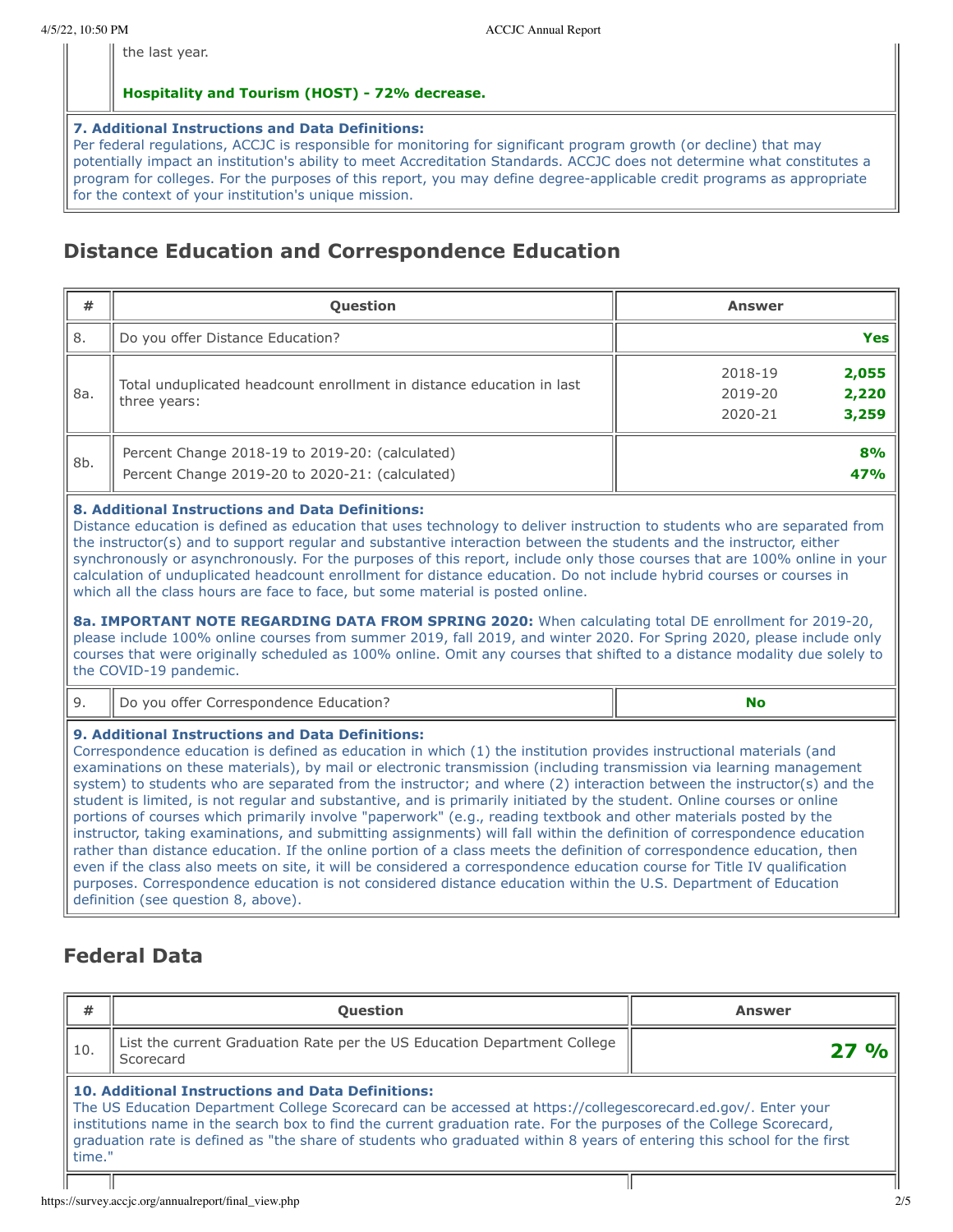the last year.

#### **Hospitality and Tourism (HOST) - 72% decrease.**

#### **7. Additional Instructions and Data Definitions:**

Per federal regulations, ACCJC is responsible for monitoring for significant program growth (or decline) that may potentially impact an institution's ability to meet Accreditation Standards. ACCJC does not determine what constitutes a program for colleges. For the purposes of this report, you may define degree-applicable credit programs as appropriate for the context of your institution's unique mission.

## **Distance Education and Correspondence Education**

| #   | <b>Question</b>                                                                                    | <b>Answer</b>                                            |
|-----|----------------------------------------------------------------------------------------------------|----------------------------------------------------------|
| 8.  | Do you offer Distance Education?                                                                   | <b>Yes</b>                                               |
| 8a. | Total unduplicated headcount enrollment in distance education in last<br>three years:              | 2,055<br>2018-19<br>2,220<br>2019-20<br>3,259<br>2020-21 |
| 8b. | Percent Change 2018-19 to 2019-20: (calculated)<br>Percent Change 2019-20 to 2020-21: (calculated) | 8%<br>47%                                                |

#### **8. Additional Instructions and Data Definitions:**

Distance education is defined as education that uses technology to deliver instruction to students who are separated from the instructor(s) and to support regular and substantive interaction between the students and the instructor, either synchronously or asynchronously. For the purposes of this report, include only those courses that are 100% online in your calculation of unduplicated headcount enrollment for distance education. Do not include hybrid courses or courses in which all the class hours are face to face, but some material is posted online.

**8a. IMPORTANT NOTE REGARDING DATA FROM SPRING 2020:** When calculating total DE enrollment for 2019-20, please include 100% online courses from summer 2019, fall 2019, and winter 2020. For Spring 2020, please include only courses that were originally scheduled as 100% online. Omit any courses that shifted to a distance modality due solely to the COVID-19 pandemic.

|  | Education?<br>Correspondence '<br>offer<br>חנו<br>VOU | __ |
|--|-------------------------------------------------------|----|
|--|-------------------------------------------------------|----|

#### **9. Additional Instructions and Data Definitions:**

Correspondence education is defined as education in which (1) the institution provides instructional materials (and examinations on these materials), by mail or electronic transmission (including transmission via learning management system) to students who are separated from the instructor; and where (2) interaction between the instructor(s) and the student is limited, is not regular and substantive, and is primarily initiated by the student. Online courses or online portions of courses which primarily involve "paperwork" (e.g., reading textbook and other materials posted by the instructor, taking examinations, and submitting assignments) will fall within the definition of correspondence education rather than distance education. If the online portion of a class meets the definition of correspondence education, then even if the class also meets on site, it will be considered a correspondence education course for Title IV qualification purposes. Correspondence education is not considered distance education within the U.S. Department of Education definition (see question 8, above).

## **Federal Data**

| #                                                                                                                                                                                                                                                                                                                                                                                                                              | <b>Question</b> | <b>Answer</b> |  |  |  |  |  |
|--------------------------------------------------------------------------------------------------------------------------------------------------------------------------------------------------------------------------------------------------------------------------------------------------------------------------------------------------------------------------------------------------------------------------------|-----------------|---------------|--|--|--|--|--|
| List the current Graduation Rate per the US Education Department College<br>10.<br>27<br>Scorecard                                                                                                                                                                                                                                                                                                                             |                 |               |  |  |  |  |  |
| 10. Additional Instructions and Data Definitions:<br>The US Education Department College Scorecard can be accessed at https://collegescorecard.ed.gov/. Enter your<br>institutions name in the search box to find the current graduation rate. For the purposes of the College Scorecard,<br>graduation rate is defined as "the share of students who graduated within 8 years of entering this school for the first<br>time." |                 |               |  |  |  |  |  |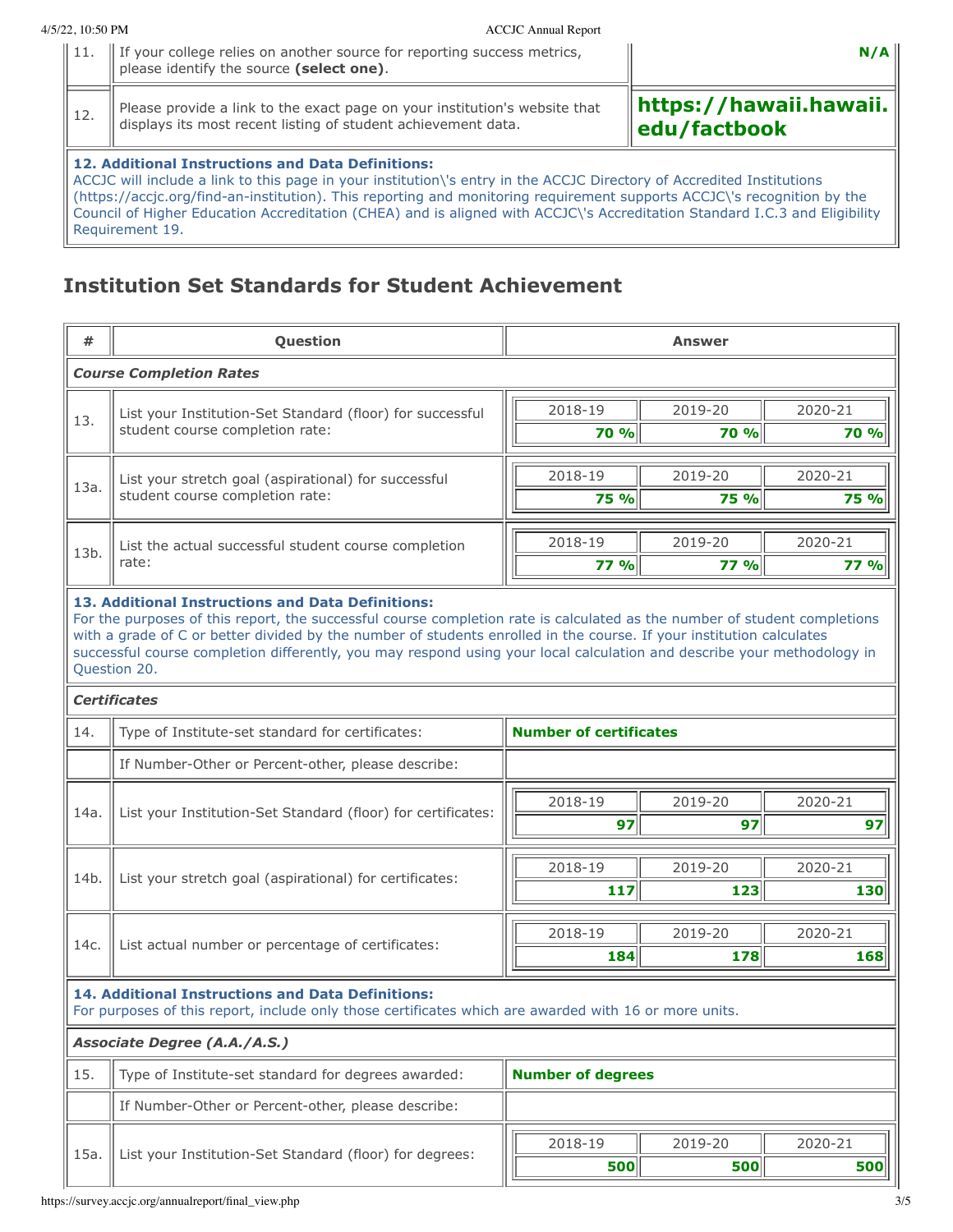|  |                                                                                                                                             | N/A          |
|--|---------------------------------------------------------------------------------------------------------------------------------------------|--------------|
|  | Please provide a link to the exact page on your institution's website that<br>displays its most recent listing of student achievement data. | edu/factbook |
|  | 12. Additional Instructions and Data Definitions:                                                                                           |              |

ACCJC will include a link to this page in your institution\'s entry in the ACCJC Directory of Accredited Institutions (https://accjc.org/find-an-institution). This reporting and monitoring requirement supports ACCJC\'s recognition by the Council of Higher Education Accreditation (CHEA) and is aligned with ACCJC\'s Accreditation Standard I.C.3 and Eligibility Requirement 19.

# **Institution Set Standards for Student Achievement**

| #                                                                                                                                                                                                                                                                                                                                                                                                                                                 | Question                                                                                                                                                   | <b>Answer</b>                 |                        |                        |  |  |  |
|---------------------------------------------------------------------------------------------------------------------------------------------------------------------------------------------------------------------------------------------------------------------------------------------------------------------------------------------------------------------------------------------------------------------------------------------------|------------------------------------------------------------------------------------------------------------------------------------------------------------|-------------------------------|------------------------|------------------------|--|--|--|
|                                                                                                                                                                                                                                                                                                                                                                                                                                                   | <b>Course Completion Rates</b>                                                                                                                             |                               |                        |                        |  |  |  |
|                                                                                                                                                                                                                                                                                                                                                                                                                                                   | List your Institution-Set Standard (floor) for successful                                                                                                  | 2018-19                       | 2019-20                | 2020-21                |  |  |  |
| 13.                                                                                                                                                                                                                                                                                                                                                                                                                                               | student course completion rate:                                                                                                                            | 70 %                          | 70 %                   | <b>70 %</b>            |  |  |  |
|                                                                                                                                                                                                                                                                                                                                                                                                                                                   |                                                                                                                                                            | 2018-19                       | 2019-20                | 2020-21                |  |  |  |
| 13a.                                                                                                                                                                                                                                                                                                                                                                                                                                              | List your stretch goal (aspirational) for successful<br>student course completion rate:                                                                    | 75 %                          | <b>75 %</b>            | <b>75 %</b>            |  |  |  |
|                                                                                                                                                                                                                                                                                                                                                                                                                                                   |                                                                                                                                                            |                               |                        |                        |  |  |  |
| 13b.                                                                                                                                                                                                                                                                                                                                                                                                                                              | List the actual successful student course completion<br>rate:                                                                                              | 2018-19<br><b>77 %</b>        | 2019-20<br><b>77 %</b> | 2020-21<br><b>77 %</b> |  |  |  |
|                                                                                                                                                                                                                                                                                                                                                                                                                                                   |                                                                                                                                                            |                               |                        |                        |  |  |  |
| 13. Additional Instructions and Data Definitions:<br>For the purposes of this report, the successful course completion rate is calculated as the number of student completions<br>with a grade of C or better divided by the number of students enrolled in the course. If your institution calculates<br>successful course completion differently, you may respond using your local calculation and describe your methodology in<br>Question 20. |                                                                                                                                                            |                               |                        |                        |  |  |  |
|                                                                                                                                                                                                                                                                                                                                                                                                                                                   | <b>Certificates</b>                                                                                                                                        |                               |                        |                        |  |  |  |
| 14.                                                                                                                                                                                                                                                                                                                                                                                                                                               | Type of Institute-set standard for certificates:                                                                                                           | <b>Number of certificates</b> |                        |                        |  |  |  |
|                                                                                                                                                                                                                                                                                                                                                                                                                                                   | If Number-Other or Percent-other, please describe:                                                                                                         |                               |                        |                        |  |  |  |
| 14a.                                                                                                                                                                                                                                                                                                                                                                                                                                              |                                                                                                                                                            | 2018-19                       | 2019-20                | 2020-21                |  |  |  |
|                                                                                                                                                                                                                                                                                                                                                                                                                                                   | List your Institution-Set Standard (floor) for certificates:                                                                                               | 97                            | 97                     | 97                     |  |  |  |
|                                                                                                                                                                                                                                                                                                                                                                                                                                                   | List your stretch goal (aspirational) for certificates:                                                                                                    | 2018-19                       | 2019-20                | 2020-21                |  |  |  |
| 14 <sub>b</sub>                                                                                                                                                                                                                                                                                                                                                                                                                                   |                                                                                                                                                            | 117                           | 123                    | 130                    |  |  |  |
|                                                                                                                                                                                                                                                                                                                                                                                                                                                   |                                                                                                                                                            | 2018-19                       | 2019-20                | 2020-21                |  |  |  |
| 14c.                                                                                                                                                                                                                                                                                                                                                                                                                                              | List actual number or percentage of certificates:                                                                                                          | 184                           | 178                    | 168                    |  |  |  |
|                                                                                                                                                                                                                                                                                                                                                                                                                                                   | 14. Additional Instructions and Data Definitions:<br>For purposes of this report, include only those certificates which are awarded with 16 or more units. |                               |                        |                        |  |  |  |
|                                                                                                                                                                                                                                                                                                                                                                                                                                                   | Associate Degree (A.A./A.S.)                                                                                                                               |                               |                        |                        |  |  |  |
| 15.                                                                                                                                                                                                                                                                                                                                                                                                                                               | Type of Institute-set standard for degrees awarded:                                                                                                        | <b>Number of degrees</b>      |                        |                        |  |  |  |
|                                                                                                                                                                                                                                                                                                                                                                                                                                                   | If Number-Other or Percent-other, please describe:                                                                                                         |                               |                        |                        |  |  |  |
|                                                                                                                                                                                                                                                                                                                                                                                                                                                   |                                                                                                                                                            | 2018-19                       | 2019-20                | 2020-21                |  |  |  |
| 15a.                                                                                                                                                                                                                                                                                                                                                                                                                                              | List your Institution-Set Standard (floor) for degrees:                                                                                                    | 500                           | 500                    | 500                    |  |  |  |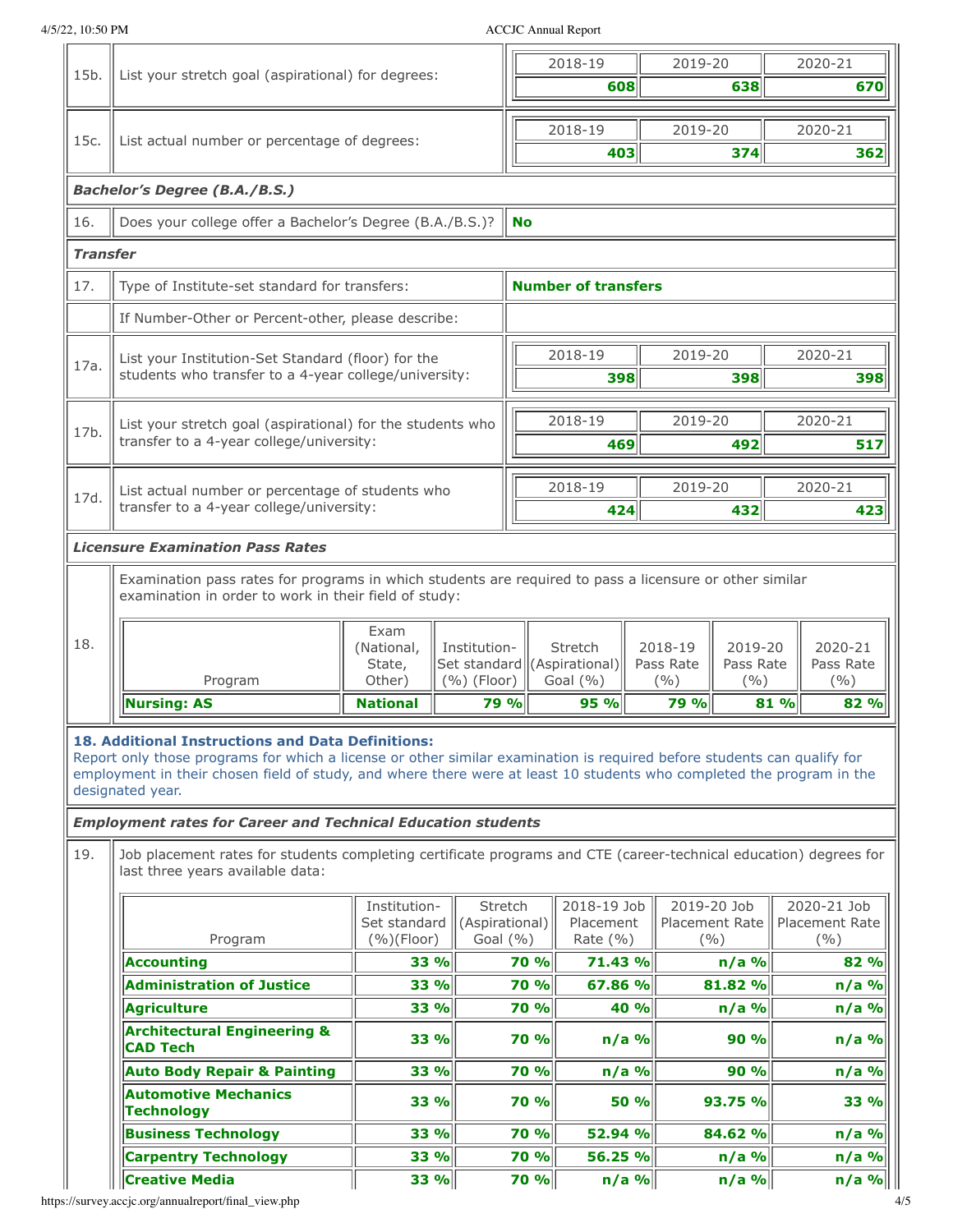4/5/22, 10:50 PM ACCJC Annual Report

| 15b.                                                                         | List your stretch goal (aspirational) for degrees:                                                                                                                                                                                                                                                                                                                                               |                                            |                               | 2018-19<br>608                            | 2019-20                                                        | 638                           | 2020-21<br>670                         |                                        |
|------------------------------------------------------------------------------|--------------------------------------------------------------------------------------------------------------------------------------------------------------------------------------------------------------------------------------------------------------------------------------------------------------------------------------------------------------------------------------------------|--------------------------------------------|-------------------------------|-------------------------------------------|----------------------------------------------------------------|-------------------------------|----------------------------------------|----------------------------------------|
|                                                                              |                                                                                                                                                                                                                                                                                                                                                                                                  |                                            |                               |                                           |                                                                |                               |                                        |                                        |
| 15c.                                                                         | List actual number or percentage of degrees:                                                                                                                                                                                                                                                                                                                                                     |                                            |                               |                                           | 2018-19                                                        | 2019-20                       |                                        | 2020-21                                |
|                                                                              |                                                                                                                                                                                                                                                                                                                                                                                                  |                                            |                               |                                           | 403                                                            |                               | 374                                    | 362                                    |
| <b>Bachelor's Degree (B.A./B.S.)</b>                                         |                                                                                                                                                                                                                                                                                                                                                                                                  |                                            |                               |                                           |                                                                |                               |                                        |                                        |
| 16.<br>Does your college offer a Bachelor's Degree (B.A./B.S.)?<br><b>No</b> |                                                                                                                                                                                                                                                                                                                                                                                                  |                                            |                               |                                           |                                                                |                               |                                        |                                        |
| <b>Transfer</b>                                                              |                                                                                                                                                                                                                                                                                                                                                                                                  |                                            |                               |                                           |                                                                |                               |                                        |                                        |
| 17.                                                                          | <b>Number of transfers</b><br>Type of Institute-set standard for transfers:                                                                                                                                                                                                                                                                                                                      |                                            |                               |                                           |                                                                |                               |                                        |                                        |
|                                                                              | If Number-Other or Percent-other, please describe:                                                                                                                                                                                                                                                                                                                                               |                                            |                               |                                           |                                                                |                               |                                        |                                        |
| 17a.                                                                         | List your Institution-Set Standard (floor) for the<br>students who transfer to a 4-year college/university:                                                                                                                                                                                                                                                                                      |                                            |                               |                                           | 2018-19<br>398                                                 | 2019-20                       | 398                                    | 2020-21<br>398                         |
| 17b.                                                                         | List your stretch goal (aspirational) for the students who<br>transfer to a 4-year college/university:                                                                                                                                                                                                                                                                                           |                                            |                               |                                           | 2018-19<br>469                                                 | 2019-20                       | 492                                    | 2020-21<br>517                         |
| 17d.                                                                         | List actual number or percentage of students who<br>transfer to a 4-year college/university:                                                                                                                                                                                                                                                                                                     |                                            |                               |                                           | 2018-19<br>424                                                 | 2019-20                       | 432                                    | 2020-21<br>423                         |
|                                                                              | <b>Licensure Examination Pass Rates</b>                                                                                                                                                                                                                                                                                                                                                          |                                            |                               |                                           |                                                                |                               |                                        |                                        |
| 18.                                                                          | Examination pass rates for programs in which students are required to pass a licensure or other similar<br>examination in order to work in their field of study:<br>Program                                                                                                                                                                                                                      | Exam<br>(National,<br>State,<br>Other)     | Institution-<br>$(%)$ (Floor) |                                           | <b>Stretch</b><br>Set standard ((Aspirational)<br>Goal $(\% )$ | 2018-19<br>Pass Rate<br>(9/0) | 2019-20<br>Pass Rate<br>$($ % $)$      | 2020-21<br>Pass Rate<br>(9/6)          |
|                                                                              | <b>Nursing: AS</b>                                                                                                                                                                                                                                                                                                                                                                               | <b>National</b>                            |                               | 79 %                                      | 95 %                                                           | <b>79 %</b>                   |                                        | 81 %<br>82 %                           |
|                                                                              | 18. Additional Instructions and Data Definitions:<br>Report only those programs for which a license or other similar examination is required before students can qualify for<br>employment in their chosen field of study, and where there were at least 10 students who completed the program in the<br>designated year.<br><b>Employment rates for Career and Technical Education students</b> |                                            |                               |                                           |                                                                |                               |                                        |                                        |
| 19.                                                                          | Job placement rates for students completing certificate programs and CTE (career-technical education) degrees for<br>last three years available data:                                                                                                                                                                                                                                            |                                            |                               |                                           |                                                                |                               |                                        |                                        |
|                                                                              | Program                                                                                                                                                                                                                                                                                                                                                                                          | Institution-<br>Set standard<br>(%)(Floor) |                               | Stretch<br>(Aspirational)<br>Goal $(\% )$ | 2018-19 Job<br>Placement<br>Rate $(% )$                        |                               | 2019-20 Job<br>Placement Rate<br>(9/0) | 2020-21 Job<br>Placement Rate<br>(9/0) |
|                                                                              | Accounting                                                                                                                                                                                                                                                                                                                                                                                       | 33 %                                       |                               | 70 %                                      | 71.43 %                                                        |                               | $n/a$ %                                | 82 %                                   |
|                                                                              | <b>Administration of Justice</b>                                                                                                                                                                                                                                                                                                                                                                 | 33 %                                       |                               | 70 %                                      | 67.86 %                                                        |                               | 81.82 %                                | n/a %                                  |
|                                                                              | <b>Agriculture</b><br><b>Architectural Engineering &amp;</b><br><b>CAD Tech</b>                                                                                                                                                                                                                                                                                                                  | <b>33 %</b><br>33 %                        |                               | 70 %<br>70 %                              | 40 %<br>$n/a$ %                                                |                               | $n/a$ %<br>90 %                        | n/a %<br>$n/a$ %                       |
|                                                                              | <b>Auto Body Repair &amp; Painting</b>                                                                                                                                                                                                                                                                                                                                                           | 33 %                                       |                               | 70 %                                      | $n/a$ %                                                        |                               | 90 %                                   | $n/a$ %                                |
|                                                                              | <b>Automotive Mechanics</b><br><b>Technology</b>                                                                                                                                                                                                                                                                                                                                                 | 33 %                                       |                               | <b>70 %</b>                               | 50 %                                                           |                               | 93.75 %                                | 33 %                                   |
|                                                                              | <b>Business Technology</b>                                                                                                                                                                                                                                                                                                                                                                       | 33 %                                       |                               | 70 %                                      | 52.94 %                                                        |                               | 84.62 %                                | $n/a$ %                                |
|                                                                              | <b>Carpentry Technology</b>                                                                                                                                                                                                                                                                                                                                                                      | 33 %                                       |                               | 70 %                                      | 56.25 %                                                        |                               | $n/a$ %                                | $n/a$ %                                |
|                                                                              | <b>Creative Media</b>                                                                                                                                                                                                                                                                                                                                                                            | 33 %                                       |                               | 70 %                                      | $n/a$ %                                                        |                               | $n/a$ %                                | n/a %                                  |

https://survey.accjc.org/annualreport/final\_view.php 4/5